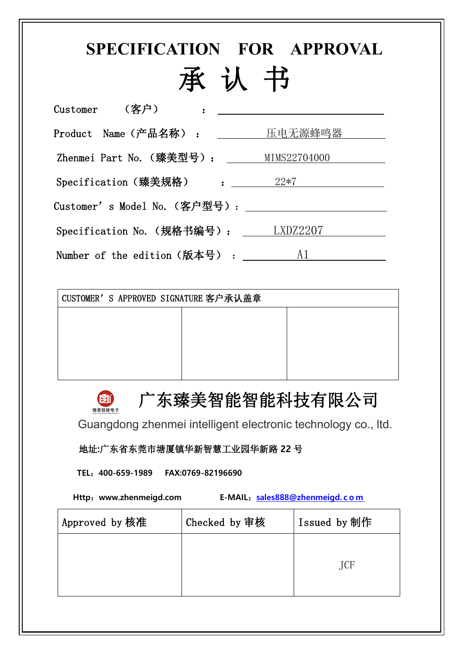# **SPECIFICATION FOR APPROVAL** 承 认 书

|                                                                                                      | Customer  (客户)    : _____________________________ |
|------------------------------------------------------------------------------------------------------|---------------------------------------------------|
|                                                                                                      | Product Name (产品名称) : <u>_______ 压电无源蜂鸣器</u>      |
|                                                                                                      | Zhenmei Part No. (臻美型号): MIMS22704000             |
|                                                                                                      | Specification (臻美规格) : _______ 22*7 ______        |
|                                                                                                      |                                                   |
|                                                                                                      | Specification No. (规格书编号): LXDZ2207               |
| Number of the edition $(\text{ +} \text{ +} \text{ +} \text{ +} \text{ +} \text{ +} \text{ +})$ . Al |                                                   |

CUSTOMER'S APPROVED SIGNATURE 客户承认盖章

#### 广东臻美智能智能科技有限公司

Guangdong zhenmei intelligent electronic technology co., ltd.

#### 地址**:**广东省东莞市塘厦镇华新智慧工业园华新路 **22** 号

**TEL**:**400-659-1989 FAX:0769-82196690**

**Http**:**www.zhenmeigd.com E-MAIL**:**[sales888@zhenmeigd.](mailto:sales888@zhenmeigd.com) c o m**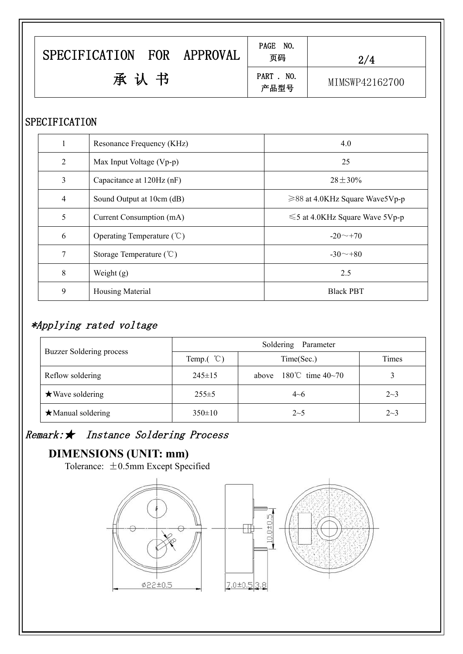| <b>SPECIFICATION</b><br>FOR<br>APPROVAL | PAGE NO.<br>页码     | 2/4            |
|-----------------------------------------|--------------------|----------------|
| 承认书                                     | PART . NO.<br>产品型号 | MIMSWP42162700 |

### SPECIFICATION

|                | Resonance Frequency (KHz)             | 4.0                                  |  |
|----------------|---------------------------------------|--------------------------------------|--|
| 2              | Max Input Voltage (Vp-p)              | 25                                   |  |
| $\overline{3}$ | Capacitance at 120Hz (nF)             | $28 \pm 30\%$                        |  |
| 4              | Sound Output at 10cm (dB)             | $\geq$ 88 at 4.0KHz Square Wave5Vp-p |  |
| 5              | Current Consumption (mA)              | $\leq 5$ at 4.0KHz Square Wave 5Vp-p |  |
| 6              | Operating Temperature $(\mathcal{C})$ | $-20 \sim 70$                        |  |
| 7              | Storage Temperature $({\degree}C)$    | $-30 \sim +80$                       |  |
| 8              | Weight $(g)$                          | 2.5                                  |  |
| 9              | Housing Material                      | <b>Black PBT</b>                     |  |
|                |                                       |                                      |  |

# \*Applying rated voltage

|                          | Soldering Parameter  |                                         |         |  |  |
|--------------------------|----------------------|-----------------------------------------|---------|--|--|
| Buzzer Soldering process | Temp. $({\degree}C)$ | Time(Sec.)                              | Times   |  |  |
| Reflow soldering         | $245 \pm 15$         | above $180^{\circ}$ time $40\text{~}70$ |         |  |  |
| $\star$ Wave soldering   | $255 \pm 5$          | $4 - 6$                                 | $2 - 3$ |  |  |
| $\star$ Manual soldering | $350 \pm 10$         | $2 \sim 5$                              | $2 - 3$ |  |  |

## Remark:★ Instance Soldering Process

## **DIMENSIONS (UNIT: mm)**

Tolerance:  $\pm 0.5$ mm Except Specified

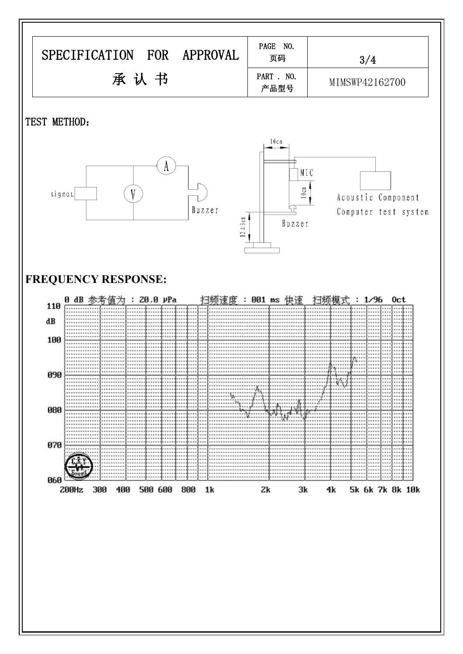